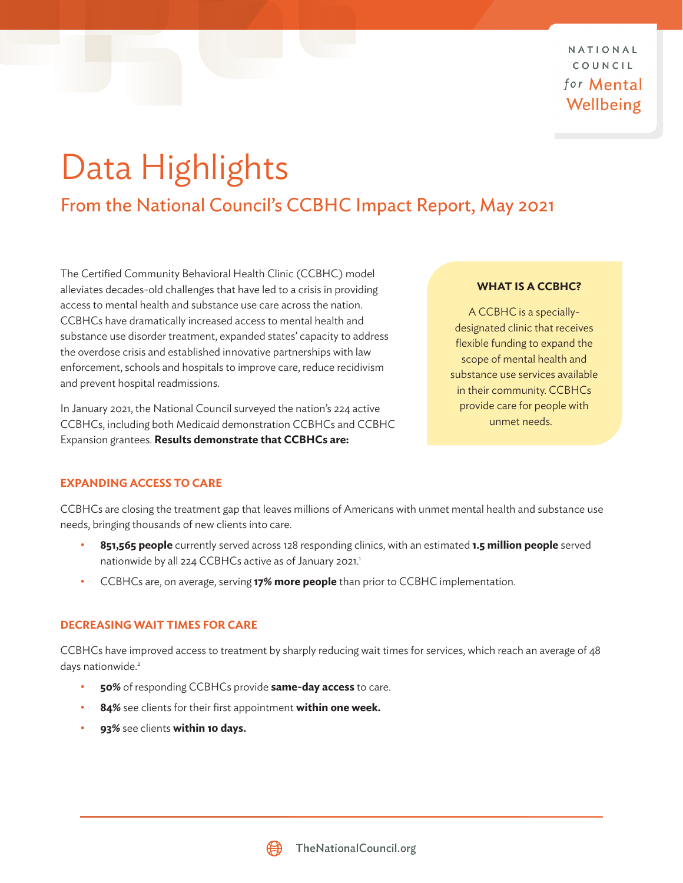NATIONAL COUNCIL for **Mental** Wellbeing

# <span id="page-0-0"></span>Data Highlights

From the National Council's CCBHC Impact Report, May 2021

The Certified Community Behavioral Health Clinic (CCBHC) model alleviates decades-old challenges that have led to a crisis in providing access to mental health and substance use care across the nation. CCBHCs have dramatically increased access to mental health and substance use disorder treatment, expanded states' capacity to address the overdose crisis and established innovative partnerships with law enforcement, schools and hospitals to improve care, reduce recidivism and prevent hospital readmissions.

In January 2021, the National Council surveyed the nation's 224 active CCBHCs, including both Medicaid demonstration CCBHCs and CCBHC Expansion grantees. **Results demonstrate that CCBHCs are:**

#### **WHAT IS A CCBHC?**

A CCBHC is a speciallydesignated clinic that receives flexible funding to expand the scope of mental health and substance use services available in their community. CCBHCs provide care for people with unmet needs.

### **EXPANDING ACCESS TO CARE**

CCBHCs are closing the treatment gap that leaves millions of Americans with unmet mental health and substance use needs, bringing thousands of new clients into care.

- **851,565 people** currently served across 128 responding clinics, with an estimated **1.5 million people** served nationwide by all 224 CCBHCs active as of January 202[1](#page-2-0).1
- CCBHCs are, on average, serving **17% more people** than prior to CCBHC implementation.

### **DECREASING WAIT TIMES FOR CARE**

CCBHCs have improved access to treatment by sharply reducing wait times for services, which reach an average of 48 days nationwide.<sup>2</sup>

- **50%** of responding CCBHCs provide **same-day access** to care.
- **84%** see clients for their first appointment **within one week.**
- **93%** see clients **within 10 days.**

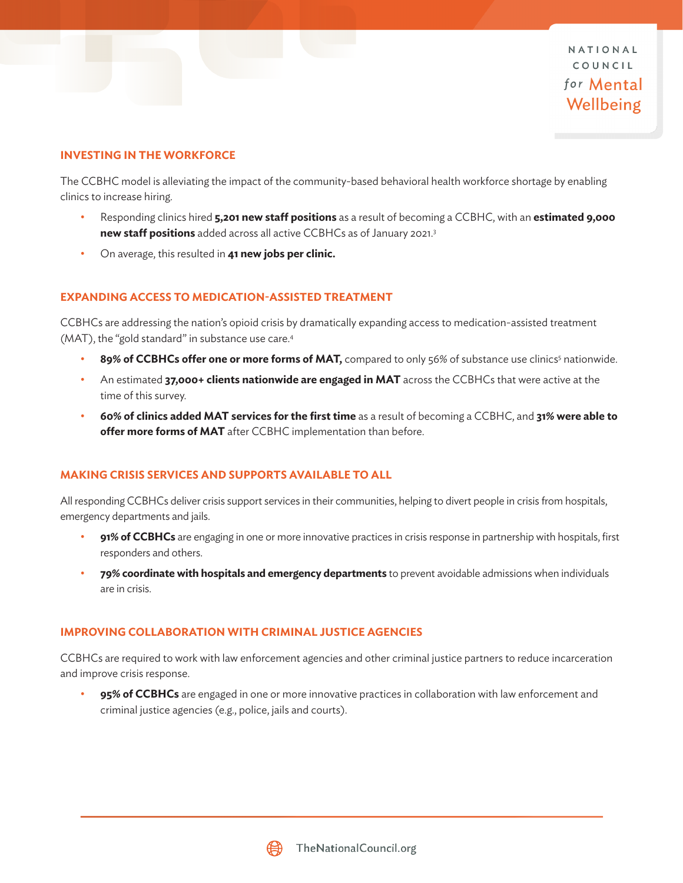NATIONAL COUNCIL for **Mental** Wellbeing

#### <span id="page-1-0"></span>**INVESTING IN THE WORKFORCE**

The CCBHC model is alleviating the impact of the community-based behavioral health workforce shortage by enabling clinics to increase hiring.

- Responding clinics hired **5,201 new staff positions** as a result of becoming a CCBHC, with an **estimated 9,000 new staff positions** added across all active CCBHCs as of January 2021.[3](#page-2-0)
- On average, this resulted in **41 new jobs per clinic.**

#### **EXPANDING ACCESS TO MEDICATION-ASSISTED TREATMENT**

CCBHCs are addressing the nation's opioid crisis by dramatically expanding access to medication-assisted treatment (MAT), the "gold standard" in substance use care.<sup>4</sup>

- 89% of CCBHCs offer one or more forms of MAT, compared to only [5](#page-2-0)6% of substance use clinics<sup>5</sup> nationwide.
- An estimated **37,000+ clients nationwide are engaged in MAT** across the CCBHCs that were active at the time of this survey.
- **60% of clinics added MAT services for the first time** as a result of becoming a CCBHC, and **31% were able to offer more forms of MAT** after CCBHC implementation than before.

#### **MAKING CRISIS SERVICES AND SUPPORTS AVAILABLE TO ALL**

All responding CCBHCs deliver crisis support services in their communities, helping to divert people in crisis from hospitals, emergency departments and jails.

- **91% of CCBHCs** are engaging in one or more innovative practices in crisis response in partnership with hospitals, first responders and others.
- **79% coordinate with hospitals and emergency departments** to prevent avoidable admissions when individuals are in crisis.

#### **IMPROVING COLLABORATION WITH CRIMINAL JUSTICE AGENCIES**

CCBHCs are required to work with law enforcement agencies and other criminal justice partners to reduce incarceration and improve crisis response.

• **95% of CCBHCs** are engaged in one or more innovative practices in collaboration with law enforcement and criminal justice agencies (e.g., police, jails and courts).